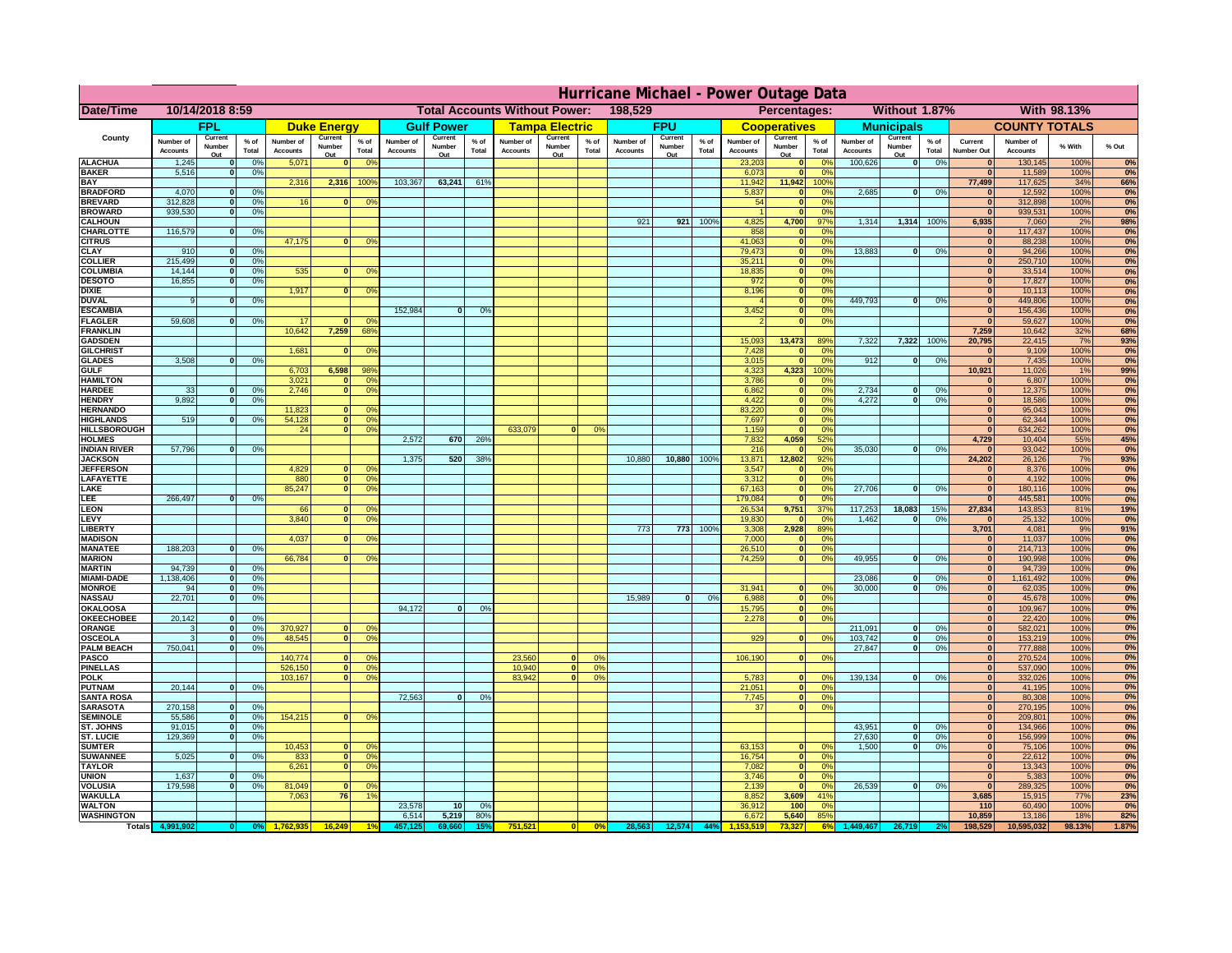|                                         | Hurricane Michael - Power Outage Data |                          |                                  |                              |                       |                                                 |                              |                   |                 |                              |                                                     |                 |                              |                   |                 |                              |                             |                       |                              |                   |                 |                              |                              |              |           |
|-----------------------------------------|---------------------------------------|--------------------------|----------------------------------|------------------------------|-----------------------|-------------------------------------------------|------------------------------|-------------------|-----------------|------------------------------|-----------------------------------------------------|-----------------|------------------------------|-------------------|-----------------|------------------------------|-----------------------------|-----------------------|------------------------------|-------------------|-----------------|------------------------------|------------------------------|--------------|-----------|
| <b>Date/Time</b>                        | 10/14/2018 8:59                       |                          |                                  |                              |                       | 198,529<br><b>Total Accounts Without Power:</b> |                              |                   |                 |                              | Without 1.87%<br><b>With 98.13%</b><br>Percentages: |                 |                              |                   |                 |                              |                             |                       |                              |                   |                 |                              |                              |              |           |
|                                         |                                       | <b>FPL</b>               |                                  |                              | <b>Duke Energy</b>    |                                                 |                              | <b>Gulf Power</b> |                 |                              | <b>Tampa Electric</b>                               |                 |                              | <b>FPU</b>        |                 |                              | <b>Cooperatives</b>         |                       |                              | <b>Municipals</b> |                 |                              | <b>COUNTY TOTALS</b>         |              |           |
| County                                  | Number of<br><b>Accounts</b>          | Current<br>Number        | % of<br>Total                    | Number of<br><b>Accounts</b> | Current<br>Number     | $%$ of<br>Total                                 | Number of<br><b>Accounts</b> | Current<br>Number | $%$ of<br>Total | Number of<br><b>Accounts</b> | Current<br>Number                                   | $%$ of<br>Total | Number of<br><b>Accounts</b> | Current<br>Number | $%$ of<br>Total | Number of<br><b>Accounts</b> | Current<br>Number           | $%$ of<br>Total       | Number of<br><b>Accounts</b> | Current<br>Number | $%$ of<br>Total | Current<br><b>Number Out</b> | Number of<br><b>Accounts</b> | % With       | % Out     |
| <b>ALACHUA</b>                          | 1,245                                 | Out                      | 0 <sup>9</sup>                   | 5,071                        | Out<br>$\mathbf{0}$   | 0 <sup>9</sup>                                  |                              | Out               |                 |                              | Out                                                 |                 |                              | Out               |                 | 23,203                       | Out<br>$\mathbf{0}$         | 0 <sup>9</sup>        | 100,626                      | Out<br> 0         | 0%              | $\bf{0}$                     | 130,145                      | 100%         | 0%        |
| <b>BAKER</b>                            | 5,516                                 |                          | 0%                               |                              |                       |                                                 |                              |                   |                 |                              |                                                     |                 |                              |                   |                 | 6,073                        | ō                           | 0%                    |                              |                   |                 | $\bf{0}$                     | 11,589                       | 100%         | 0%        |
| <b>BAY</b><br><b>BRADFORD</b>           | 4,070                                 |                          | 0%                               | 2,316                        | 2,316                 | 100%                                            | 103,367                      | 63,241            | 61%             |                              |                                                     |                 |                              |                   |                 | 11,942<br>5,837              | 11,942<br>$\mathbf{0}$      | 100%<br>0%            | 2,685                        | 0                 | 0%              | 77,499<br>$\bf{0}$           | 117,625<br>12,592            | 34%<br>100%  | 66%<br>0% |
| <b>BREVARD</b>                          | 312,828                               |                          | 0 <sup>9</sup>                   | 16                           | $\mathbf{0}$          | 0 <sup>9</sup>                                  |                              |                   |                 |                              |                                                     |                 |                              |                   |                 | 54                           | $\mathbf{0}$                | 0%                    |                              |                   |                 | $\mathbf{0}$                 | 312,898                      | 100%         | 0%        |
| <b>BROWARD</b>                          | 939.530                               |                          | 0 <sup>9</sup>                   |                              |                       |                                                 |                              |                   |                 |                              |                                                     |                 |                              |                   |                 |                              | $\mathbf{0}$                | 0%                    |                              |                   |                 | $\bf{0}$                     | 939,531                      | 100%         | 0%        |
| <b>CALHOUN</b>                          |                                       |                          |                                  |                              |                       |                                                 |                              |                   |                 |                              |                                                     |                 | 921                          | 921               | 100%            | 4,825                        | 4,700                       | 97%                   | 1,314                        | 1,314 100%        |                 | 6,935                        | 7,060                        | 2%           | 98%       |
| CHARLOTTE<br><b>CITRUS</b>              | 116,579                               |                          | 0 <sup>9</sup>                   | 47,175                       | $\bf{0}$              | 0 <sup>9</sup>                                  |                              |                   |                 |                              |                                                     |                 |                              |                   |                 | 858<br>41,063                | $\mathbf 0$<br>$\mathbf{0}$ | 0%<br>0 <sup>9</sup>  |                              |                   |                 | $\bf{0}$<br>$\bf{0}$         | 117,437<br>88,238            | 100%<br>100% | 0%<br>0%  |
| <b>CLAY</b>                             | 910                                   |                          | 0 <sup>9</sup>                   |                              |                       |                                                 |                              |                   |                 |                              |                                                     |                 |                              |                   |                 | 79,473                       | $\mathbf{0}$                | 0 <sup>9</sup>        | 13,883                       | $\mathbf{0}$      | 0%              | $\bf{0}$                     | 94,266                       | 100%         | 0%        |
| <b>COLLIER</b>                          | 215,499                               |                          | 0 <sup>9</sup>                   |                              |                       |                                                 |                              |                   |                 |                              |                                                     |                 |                              |                   |                 | 35,211                       | $\mathbf{0}$                | 0%                    |                              |                   |                 | $\bf{0}$                     | 250,710                      | 100%         | 0%        |
| <b>COLUMBIA</b>                         | 14,144<br>16,855                      |                          | 0 <sup>9</sup>                   | 535                          | $\bf{0}$              | 0 <sup>9</sup>                                  |                              |                   |                 |                              |                                                     |                 |                              |                   |                 | 18,835<br>972                | ō                           | 0%<br>0%              |                              |                   |                 | $\bf{0}$<br>$\bf{0}$         | 33,514                       | 100%         | 0%        |
| <b>DESOTO</b><br><b>DIXIE</b>           |                                       |                          | 0 <sup>9</sup>                   | 1,917                        | $\mathbf{0}$          | 0 <sup>o</sup>                                  |                              |                   |                 |                              |                                                     |                 |                              |                   |                 | 8,196                        | ō<br>$\mathbf{0}$           | nº                    |                              |                   |                 | $\Omega$                     | 17,827<br>10,113             | 100%<br>100% | 0%<br>0%  |
| <b>DUVAL</b>                            |                                       |                          | 0%                               |                              |                       |                                                 |                              |                   |                 |                              |                                                     |                 |                              |                   |                 |                              | $\mathbf{0}$                | 0%                    | 449.793                      | o                 | 0%              | $\Omega$                     | 449,806                      | 100%         | 0%        |
| <b>ESCAMBIA</b>                         |                                       |                          |                                  |                              |                       |                                                 | 152,984                      | $\mathbf{0}$      | 0 <sup>9</sup>  |                              |                                                     |                 |                              |                   |                 | 3,452                        | $\mathbf{0}$                | 0%                    |                              |                   |                 | $\mathbf{0}$                 | 156,436                      | 100%         | 0%        |
| <b>FLAGLER</b><br><b>FRANKLIN</b>       | 59,608                                |                          | 0%                               | 17<br>10,642                 | $\mathbf{r}$<br>7,259 | 0 <sup>9</sup><br>68%                           |                              |                   |                 |                              |                                                     |                 |                              |                   |                 |                              | ō                           | 0%                    |                              |                   |                 | $\mathbf{r}$<br>7,259        | 59,627<br>10,642             | 100%<br>32%  | 0%<br>68% |
| <b>GADSDEN</b>                          |                                       |                          |                                  |                              |                       |                                                 |                              |                   |                 |                              |                                                     |                 |                              |                   |                 | 15,093                       | 13,473                      | 89%                   | 7,322                        | 7,322             | 100%            | 20,795                       | 22,415                       | 7%           | 93%       |
| <b>GILCHRIST</b>                        |                                       |                          |                                  | 1,681                        | $\bf{0}$              | 0 <sup>9</sup>                                  |                              |                   |                 |                              |                                                     |                 |                              |                   |                 | 7,428                        | $\mathbf{0}$                | 0%                    |                              |                   |                 | $\overline{0}$               | 9,109                        | 100%         | 0%        |
| <b>GLADES</b>                           | 3,508                                 |                          | 0 <sup>9</sup>                   |                              |                       |                                                 |                              |                   |                 |                              |                                                     |                 |                              |                   |                 | 3,015                        | $\bullet$                   | 0%                    | 912                          | 0                 | 0%              | 0                            | 7,435                        | 100%         | 0%        |
| <b>GULF</b><br><b>HAMILTON</b>          |                                       |                          |                                  | 6,703<br>3,021               | 6,598<br>n l          | 98%<br>0 <sup>9</sup>                           |                              |                   |                 |                              |                                                     |                 |                              |                   |                 | 4,323<br>3,786               | 4,323<br>$\mathbf{0}$       | 100%<br>0%            |                              |                   |                 | 10,921<br>$\Omega$           | 11,026<br>6,807              | 1%<br>100%   | 99%<br>0% |
| <b>HARDEE</b>                           | 33                                    |                          | 0%                               | 2.746                        | n l                   | 0 <sup>9</sup>                                  |                              |                   |                 |                              |                                                     |                 |                              |                   |                 | 6.862                        | 0                           | 0%                    | 2.734                        | $\mathbf{0}$      | 0%              | 0                            | 12,375                       | 100%         | 0%        |
| <b>HENDRY</b>                           | 9.892                                 |                          | 0%                               |                              |                       |                                                 |                              |                   |                 |                              |                                                     |                 |                              |                   |                 | 4.422                        | 0                           | 0%                    | 4.272                        | $\mathbf{0}$      | 0%              | 0                            | 18.586                       | 100%         | 0%        |
| <b>HERNANDO</b>                         |                                       |                          |                                  | 11,823                       | <sup>o</sup>          | $\Omega$                                        |                              |                   |                 |                              |                                                     |                 |                              |                   |                 | 83,220                       | 0                           | 0%                    |                              |                   |                 | 0                            | 95,043                       | 100%         | 0%        |
| <b>HIGHLANDS</b><br><b>HILLSBOROUGH</b> | 519                                   |                          | 0 <sup>9</sup>                   | 54,128<br>24                 |                       | $\overline{0}$<br>0%<br>$\overline{0}$<br>0%    |                              |                   |                 | 633,079                      |                                                     | 0 <sup>9</sup>  |                              |                   |                 | 7,697<br>1,159               | ō<br>$\mathbf{0}$           | 0%<br>0%              |                              |                   |                 | 0 <br> 0                     | 62,344<br>634,262            | 100%<br>100% | 0%<br>0%  |
| <b>HOLMES</b>                           |                                       |                          |                                  |                              |                       |                                                 | 2,572                        | 670               | 26%             |                              |                                                     |                 |                              |                   |                 | 7,832                        | 4,059                       | 52%                   |                              |                   |                 | 4,729                        | 10,404                       | 55%          | 45%       |
| <b>INDIAN RIVER</b>                     | 57,796                                |                          | 0%                               |                              |                       |                                                 |                              |                   |                 |                              |                                                     |                 |                              |                   |                 | 216                          | $\mathbf{0}$                | 0 <sup>9</sup>        | 35,030                       | $\mathbf{0}$      | 0%              | $\bf{0}$                     | 93,042                       | 100%         | 0%        |
| <b>JACKSON</b>                          |                                       |                          |                                  |                              |                       |                                                 | 1,375                        | 520               | 38%             |                              |                                                     |                 | 10,880                       | 10,880            | 100%            | 13,871                       | 12,802                      | 92%                   |                              |                   |                 | 24,202                       | 26,126                       | 7%           | 93%       |
| <b>JEFFERSON</b><br>LAFAYETTE           |                                       |                          |                                  | 4,829<br>880                 | οl                    | 0 <sup>9</sup><br>$\overline{0}$<br>0%          |                              |                   |                 |                              |                                                     |                 |                              |                   |                 | 3,547<br>3,312               | $\Omega$<br>$\mathbf{0}$    | 0%<br>0%              |                              |                   |                 | $\Omega$<br> 0               | 8,376<br>4,192               | 100%<br>100% | 0%<br>0%  |
| LAKE                                    |                                       |                          |                                  | 85,247                       |                       | $\overline{0}$<br>0%                            |                              |                   |                 |                              |                                                     |                 |                              |                   |                 | 67,163                       | $\mathbf{0}$                | 0%                    | 27,706                       | $\Omega$          | 0%              | 0                            | 180,116                      | 100%         | 0%        |
| LEE                                     | 266,497                               |                          | 0%                               |                              |                       |                                                 |                              |                   |                 |                              |                                                     |                 |                              |                   |                 | 179,084                      | $\mathbf{0}$                | 0%                    |                              |                   |                 | 0                            | 445,581                      | 100%         | 0%        |
| <b>LEON</b>                             |                                       |                          |                                  | 66                           | $\Omega$              | O <sup>9</sup>                                  |                              |                   |                 |                              |                                                     |                 |                              |                   |                 | 26,534                       | 9,751                       | 37%                   | 117,253                      | 18,083            | 15%             | 27,834                       | 143,853                      | 81%          | 19%       |
| LEVY<br>LIBERTY                         |                                       |                          |                                  | 3,840                        | $\Omega$              | 0 <sup>9</sup>                                  |                              |                   |                 |                              |                                                     |                 | 773                          | 773               | 100%            | 19,830<br>3,308              | $\mathbf{0}$<br>2,928       | 0%<br>89%             | 1,462                        | $\mathbf{0}$      | 0%              | 0 <br>3,701                  | 25,132<br>4,081              | 100%<br>9%   | 0%<br>91% |
| <b>MADISON</b>                          |                                       |                          |                                  | 4,037                        |                       | 0 <sup>9</sup>                                  |                              |                   |                 |                              |                                                     |                 |                              |                   |                 | 7,000                        | $\mathbf{0}$                | 0%                    |                              |                   |                 | 0                            | 11,037                       | 100%         | 0%        |
| <b>MANATEE</b>                          | 188,203                               | $\Omega$                 | 0%                               |                              |                       |                                                 |                              |                   |                 |                              |                                                     |                 |                              |                   |                 | 26,510                       | 0                           | 0%                    |                              |                   |                 | 0                            | 214,713                      | 100%         | 0%        |
| <b>MARION</b>                           |                                       | $\Omega$                 |                                  | 66,784                       |                       | 0°                                              |                              |                   |                 |                              |                                                     |                 |                              |                   |                 | 74,259                       | 0                           | 0%                    | 49,955                       | $\Omega$          | 0%              | 0                            | 190,998                      | 100%         | 0%<br>0%  |
| <b>MARTIN</b><br><b>MIAMI-DADE</b>      | 94,739<br>1,138,406                   | $\mathbf{o}$             | 0 <sup>9</sup><br>0 <sup>9</sup> |                              |                       |                                                 |                              |                   |                 |                              |                                                     |                 |                              |                   |                 |                              |                             |                       | 23,086                       | $\mathbf 0$       | 0%              | 0 <br> 0                     | 94,739<br>1,161,492          | 100%<br>100% | 0%        |
| <b>MONROE</b>                           | 94                                    | 0                        | 0%                               |                              |                       |                                                 |                              |                   |                 |                              |                                                     |                 |                              |                   |                 | 31,941                       | $\mathbf{0}$                | 0 <sup>9</sup>        | 30,000                       | $\mathbf{0}$      | 0%              | 0                            | 62,035                       | 100%         | 0%        |
| <b>NASSAU</b>                           | 22,701                                | $\Omega$                 | 0%                               |                              |                       |                                                 |                              |                   |                 |                              |                                                     |                 | 15,989                       | 0                 | 0%              | 6,988                        | 0                           | 0%                    |                              |                   |                 | 0                            | 45,678                       | 100%         | 0%        |
| OKALOOSA                                |                                       |                          |                                  |                              |                       |                                                 | 94,172                       | $\bf{0}$          | 0%              |                              |                                                     |                 |                              |                   |                 | 15,795                       | 0                           | 0%                    |                              |                   |                 | 0                            | 109,967                      | 100%         | 0%        |
| <b>OKEECHOBEE</b><br>ORANGE             | 20,142                                | $\Omega$                 | 0%<br>0 <sup>9</sup>             | 370,927                      | $\Omega$              | 0 <sup>6</sup>                                  |                              |                   |                 |                              |                                                     |                 |                              |                   |                 | 2,278                        | 0                           | 0%                    | 211,091                      | $\mathbf{0}$      | 0%              | 0 <br> 0                     | 22,420<br>582,021            | 100%<br>100% | 0%<br>0%  |
| <b>OSCEOLA</b>                          |                                       | $\Omega$                 | 0 <sup>9</sup>                   | 48,545                       | $\Omega$              | $\overline{0}$                                  |                              |                   |                 |                              |                                                     |                 |                              |                   |                 | 929                          | 0                           | 0 <sup>9</sup>        | 103,742                      | 0                 | 0%              | 0                            | 153,219                      | 100%         | 0%        |
| <b>PALM BEACH</b>                       | 750,041                               | $\Omega$                 | 0 <sup>9</sup>                   |                              |                       |                                                 |                              |                   |                 |                              |                                                     |                 |                              |                   |                 |                              |                             |                       | 27,847                       | o                 | 0%              | 0                            | 777,888                      | 100%         | 0%        |
| PASCO<br><b>PINELLAS</b>                |                                       |                          |                                  | 140,774                      | $\Omega$              | $^{\circ}$<br>0 <sup>9</sup>                    |                              |                   |                 | 23,560<br>10,940             | $\Omega$<br>$\overline{\mathbf{0}}$                 | 0%<br>0%        |                              |                   |                 | 106,190                      | 0                           | 0%                    |                              |                   |                 | 0 <br>$\mathbf{0}$           | 270,524                      | 100%<br>100% | 0%<br>0%  |
| <b>POLK</b>                             |                                       |                          |                                  | 526,150<br>103,167           |                       | 0 <br>0 <sup>9</sup><br> 0                      |                              |                   |                 | 83,942                       | 0                                                   | 0%              |                              |                   |                 | 5,783                        | 0                           | nº                    | 139,134                      | 0                 | 0%              | 0                            | 537,090<br>332,026           | 100%         | 0%        |
| <b>PUTNAM</b>                           | 20,144                                | $\mathbf{0}$             | 0%                               |                              |                       |                                                 |                              |                   |                 |                              |                                                     |                 |                              |                   |                 | 21,051                       | 0                           | 0%                    |                              |                   |                 | $\bf{0}$                     | 41,195                       | 100%         | 0%        |
| <b>SANTA ROSA</b>                       |                                       |                          |                                  |                              |                       |                                                 | 72,563                       | 0                 | 0%              |                              |                                                     |                 |                              |                   |                 | 7,745                        | 0                           | 0%                    |                              |                   |                 | $\mathbf{0}$                 | 80,308                       | 100%         | 0%        |
| <b>SARASOTA</b><br><b>SEMINOLE</b>      | 270,158<br>55,586                     | $\Omega$<br>$\mathbf{0}$ | 0%<br>0 <sup>9</sup>             | 154,215                      |                       | $\mathbf{0}$<br>0 <sup>9</sup>                  |                              |                   |                 |                              |                                                     |                 |                              |                   |                 | 37                           | 0                           | 0%                    |                              |                   |                 | $\mathbf{0}$<br>$\mathbf{0}$ | 270,195                      | 100%<br>100% | 0%<br>0%  |
| <b>ST. JOHNS</b>                        | 91.015                                | $\Omega$                 | 0%                               |                              |                       |                                                 |                              |                   |                 |                              |                                                     |                 |                              |                   |                 |                              |                             |                       | 43,951                       | -ol               | 0%              | 0                            | 209,801<br>134,966           | 100%         | 0%        |
| <b>ST. LUCIE</b>                        | 129.369                               | $\Omega$                 | 0%                               |                              |                       |                                                 |                              |                   |                 |                              |                                                     |                 |                              |                   |                 |                              |                             |                       | 27.630                       | - O I             | 0%              | 0                            | 156.999                      | 100%         | 0%        |
| <b>SUMTER</b>                           |                                       |                          |                                  | 10,453                       | $\mathbf{0}$          | $\Omega$                                        |                              |                   |                 |                              |                                                     |                 |                              |                   |                 | 63,153                       | $\mathbf{0}$                | 0%                    | 1.500                        | 0                 | 0%              | $\overline{0}$               | 75,106                       | 100%         | 0%        |
| <b>SUWANNEE</b><br><b>TAYLOR</b>        | 5,025                                 | $\Omega$                 | 0%                               | 833<br>6,261                 |                       | 0 <sup>9</sup><br> 0 <br> 0 <br>0 <sup>9</sup>  |                              |                   |                 |                              |                                                     |                 |                              |                   |                 | 16,754<br>7,082              | 0 <br> 0                    | 0%<br>0%              |                              |                   |                 | $\mathbf{0}$<br>$\bf{0}$     | 22,612<br>13,343             | 100%<br>100% | 0%<br>0%  |
| <b>UNION</b>                            | 1,637                                 |                          | 0 <sup>9</sup>                   |                              |                       |                                                 |                              |                   |                 |                              |                                                     |                 |                              |                   |                 | 3,746                        | $\mathbf 0$                 | 0%                    |                              |                   |                 | $\bf{0}$                     | 5,383                        | 100%         | 0%        |
| VOLUSIA                                 | 179,598                               |                          | 0%                               | 81,049                       | 0                     | 0 <sup>6</sup>                                  |                              |                   |                 |                              |                                                     |                 |                              |                   |                 | 2,139                        | $\mathbf 0$                 | 0%                    | 26,539                       | 0                 | 0%              | $\mathbf{0}$                 | 289,325                      | 100%         | 0%        |
| <b>WAKULLA</b>                          |                                       |                          |                                  | 7,063                        | 76                    | 1%                                              |                              |                   |                 |                              |                                                     |                 |                              |                   |                 | 8,852                        | 3,609                       | 41%                   |                              |                   |                 | 3,685                        | 15,915                       | 77%          | 23%       |
| <b>WALTON</b><br><b>WASHINGTON</b>      |                                       |                          |                                  |                              |                       |                                                 | 23,578<br>6,514              | 10<br>5,219       | 0%<br>80%       |                              |                                                     |                 |                              |                   |                 | 36,912<br>6,672              | 100<br>5,640                | 0 <sup>9</sup><br>85% |                              |                   |                 | 110<br>10,859                | 60,490<br>13,186             | 100%<br>18%  | 0%<br>82% |
| Totals 4,9                              |                                       |                          |                                  |                              |                       |                                                 |                              | 69.66             |                 | 751,521                      |                                                     | 0%              | 28,563                       | 12,574            | 44%             |                              |                             |                       |                              |                   |                 | 198,529                      | 10,595,032                   | 98.13%       | 1.87%     |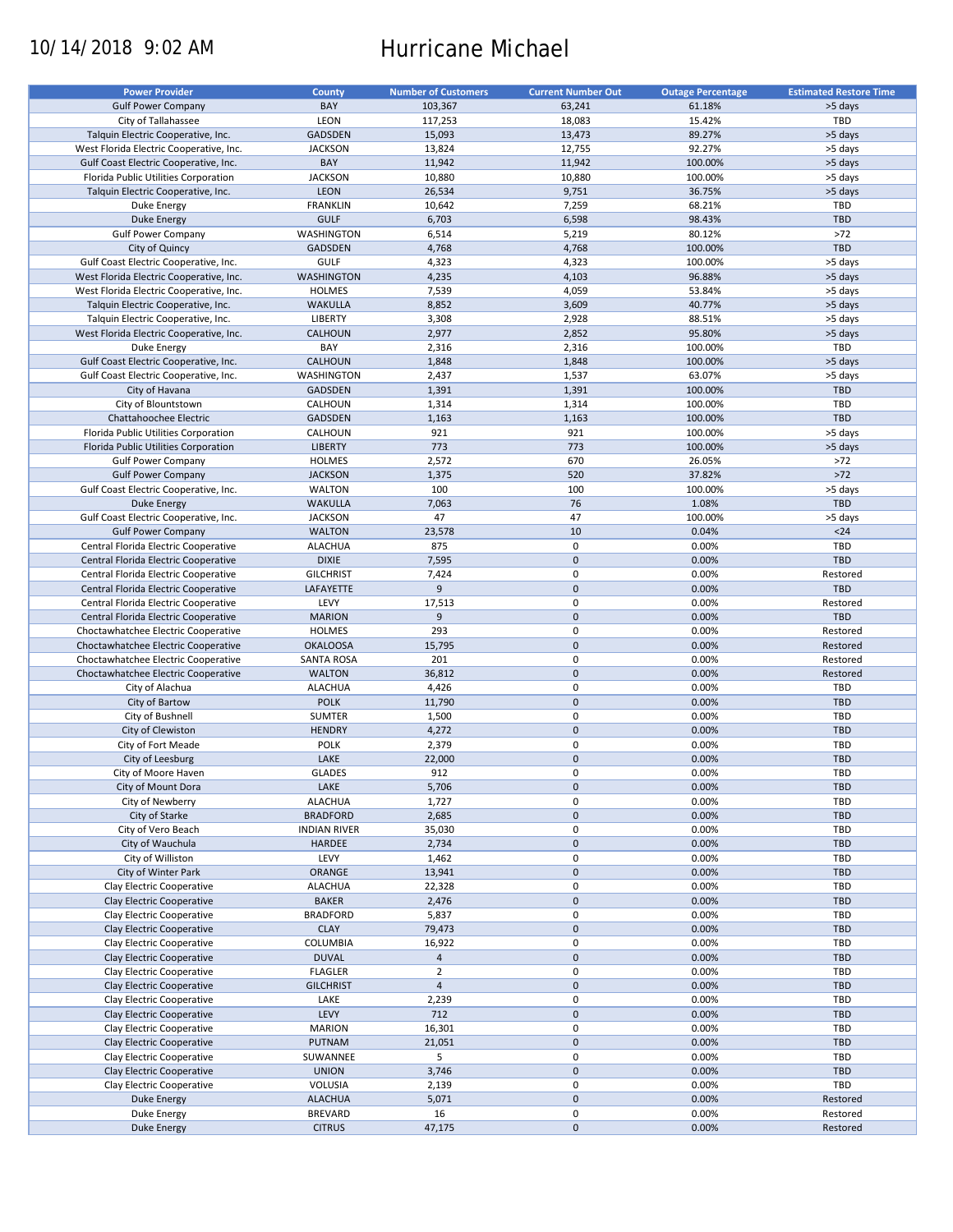# 10/14/2018 9:02 AM Hurricane Michael

| <b>Power Provider</b>                   | <b>County</b>       | <b>Number of Customers</b> | <b>Current Number Out</b> | <b>Outage Percentage</b> | <b>Estimated Restore Time</b> |
|-----------------------------------------|---------------------|----------------------------|---------------------------|--------------------------|-------------------------------|
| <b>Gulf Power Company</b>               | BAY                 | 103,367                    | 63,241                    | 61.18%                   | >5 days                       |
| City of Tallahassee                     | LEON                | 117,253                    | 18,083                    | 15.42%                   | TBD                           |
| Talquin Electric Cooperative, Inc.      | <b>GADSDEN</b>      | 15,093                     | 13,473                    | 89.27%                   | >5 days                       |
| West Florida Electric Cooperative, Inc. | <b>JACKSON</b>      | 13,824                     | 12,755                    | 92.27%                   | >5 days                       |
| Gulf Coast Electric Cooperative, Inc.   | BAY                 | 11,942                     | 11,942                    | 100.00%                  | >5 days                       |
| Florida Public Utilities Corporation    | <b>JACKSON</b>      | 10,880                     | 10,880                    | 100.00%                  | >5 days                       |
| Talquin Electric Cooperative, Inc.      | <b>LEON</b>         | 26,534                     | 9,751                     | 36.75%                   | >5 days                       |
| Duke Energy                             | <b>FRANKLIN</b>     | 10,642                     | 7,259                     | 68.21%                   | TBD                           |
| <b>Duke Energy</b>                      | <b>GULF</b>         | 6,703                      | 6,598                     | 98.43%                   | <b>TBD</b>                    |
| <b>Gulf Power Company</b>               | WASHINGTON          | 6,514                      | 5,219                     | 80.12%                   | $>72$                         |
| City of Quincy                          | <b>GADSDEN</b>      | 4,768                      | 4,768                     | 100.00%                  | <b>TBD</b>                    |
| Gulf Coast Electric Cooperative, Inc.   | GULF                | 4,323                      | 4,323                     | 100.00%                  | >5 days                       |
| West Florida Electric Cooperative, Inc. | <b>WASHINGTON</b>   | 4,235                      | 4,103                     | 96.88%                   | >5 days                       |
| West Florida Electric Cooperative, Inc. | <b>HOLMES</b>       | 7,539                      | 4,059                     | 53.84%                   | >5 days                       |
| Talquin Electric Cooperative, Inc.      | <b>WAKULLA</b>      | 8,852                      | 3,609                     | 40.77%                   | >5 days                       |
| Talquin Electric Cooperative, Inc.      | <b>LIBERTY</b>      | 3,308                      | 2,928                     | 88.51%                   | >5 days                       |
| West Florida Electric Cooperative, Inc. | <b>CALHOUN</b>      | 2,977                      | 2,852                     | 95.80%                   | >5 days                       |
| Duke Energy                             | BAY                 | 2,316                      | 2,316                     | 100.00%                  | TBD                           |
| Gulf Coast Electric Cooperative, Inc.   | CALHOUN             | 1,848                      | 1,848                     | 100.00%                  | >5 days                       |
| Gulf Coast Electric Cooperative, Inc.   | WASHINGTON          | 2,437                      | 1,537                     | 63.07%                   | >5 days                       |
| City of Havana                          | <b>GADSDEN</b>      | 1,391                      | 1,391                     | 100.00%                  | <b>TBD</b>                    |
| City of Blountstown                     | CALHOUN             | 1,314                      | 1,314                     | 100.00%                  | TBD                           |
| Chattahoochee Electric                  | GADSDEN             | 1,163                      | 1,163                     | 100.00%                  | <b>TBD</b>                    |
| Florida Public Utilities Corporation    | CALHOUN             | 921                        | 921                       | 100.00%                  | >5 days                       |
| Florida Public Utilities Corporation    | <b>LIBERTY</b>      | 773                        | 773                       | 100.00%                  | >5 days                       |
| <b>Gulf Power Company</b>               | <b>HOLMES</b>       | 2,572                      | 670                       | 26.05%                   | $>72$                         |
| <b>Gulf Power Company</b>               | <b>JACKSON</b>      | 1,375                      | 520                       | 37.82%                   | $>72$                         |
| Gulf Coast Electric Cooperative, Inc.   | <b>WALTON</b>       | 100                        | 100                       | 100.00%                  | >5 days                       |
| <b>Duke Energy</b>                      | <b>WAKULLA</b>      | 7,063                      | 76                        | 1.08%                    | <b>TBD</b>                    |
| Gulf Coast Electric Cooperative, Inc.   | <b>JACKSON</b>      | 47                         | 47                        | 100.00%                  | >5 days                       |
| <b>Gulf Power Company</b>               | <b>WALTON</b>       | 23,578                     | 10                        | 0.04%                    | $24$                          |
| Central Florida Electric Cooperative    | <b>ALACHUA</b>      | 875                        | $\pmb{0}$                 | 0.00%                    | TBD                           |
| Central Florida Electric Cooperative    | <b>DIXIE</b>        | 7,595                      | $\mathbf 0$               | 0.00%                    | <b>TBD</b>                    |
| Central Florida Electric Cooperative    | <b>GILCHRIST</b>    | 7,424                      | 0                         | 0.00%                    | Restored                      |
| Central Florida Electric Cooperative    | LAFAYETTE           | 9                          | $\mathbf 0$               | 0.00%                    | <b>TBD</b>                    |
| Central Florida Electric Cooperative    | LEVY                | 17,513                     | 0                         | 0.00%                    | Restored                      |
| Central Florida Electric Cooperative    | <b>MARION</b>       | 9                          | $\mathbf 0$               | 0.00%                    | <b>TBD</b>                    |
| Choctawhatchee Electric Cooperative     | <b>HOLMES</b>       | 293                        | $\pmb{0}$                 | 0.00%                    | Restored                      |
| Choctawhatchee Electric Cooperative     | <b>OKALOOSA</b>     | 15,795                     | $\mathbf 0$               | 0.00%                    | Restored                      |
| Choctawhatchee Electric Cooperative     | <b>SANTA ROSA</b>   | 201                        | 0                         | 0.00%                    | Restored                      |
| Choctawhatchee Electric Cooperative     | <b>WALTON</b>       | 36,812                     | $\mathbf 0$               | 0.00%                    | Restored                      |
| City of Alachua                         | <b>ALACHUA</b>      | 4,426                      | $\pmb{0}$                 | 0.00%                    | TBD                           |
| City of Bartow                          | <b>POLK</b>         | 11,790                     | $\mathbf 0$               | 0.00%                    | <b>TBD</b>                    |
| City of Bushnell                        | <b>SUMTER</b>       | 1,500                      | $\pmb{0}$                 | 0.00%                    | TBD                           |
| City of Clewiston                       | <b>HENDRY</b>       | 4,272                      | $\mathbf 0$               | 0.00%                    | <b>TBD</b>                    |
| City of Fort Meade                      | POLK                | 2,379                      | $\pmb{0}$                 | 0.00%                    | TBD                           |
| City of Leesburg                        | LAKE                | 22,000                     | $\pmb{0}$                 | 0.00%                    | <b>TBD</b>                    |
| City of Moore Haven                     | <b>GLADES</b>       | 912                        | $\mathbf 0$               | 0.00%                    | <b>TBD</b>                    |
| City of Mount Dora                      | LAKE                | 5,706                      | $\pmb{0}$                 | 0.00%                    | <b>TBD</b>                    |
| City of Newberry                        | <b>ALACHUA</b>      | 1,727                      | $\pmb{0}$                 | 0.00%                    | TBD                           |
| City of Starke                          | <b>BRADFORD</b>     | 2,685                      | $\pmb{0}$                 | 0.00%                    | <b>TBD</b>                    |
| City of Vero Beach                      | <b>INDIAN RIVER</b> | 35,030                     | 0                         | 0.00%                    | TBD                           |
| City of Wauchula                        | <b>HARDEE</b>       | 2,734                      | $\pmb{0}$                 | 0.00%                    | <b>TBD</b>                    |
| City of Williston                       | LEVY                | 1,462                      | 0                         | 0.00%                    | TBD                           |
| City of Winter Park                     | ORANGE              | 13,941                     | $\pmb{0}$                 | 0.00%                    | <b>TBD</b>                    |
| Clay Electric Cooperative               | <b>ALACHUA</b>      | 22,328                     | 0                         | 0.00%                    | TBD                           |
| Clay Electric Cooperative               | <b>BAKER</b>        | 2,476                      | $\pmb{0}$                 | 0.00%                    | TBD                           |
| Clay Electric Cooperative               | <b>BRADFORD</b>     | 5,837                      | 0                         | 0.00%                    | TBD                           |
| Clay Electric Cooperative               | <b>CLAY</b>         | 79,473                     | $\pmb{0}$                 | 0.00%                    | <b>TBD</b>                    |
| Clay Electric Cooperative               | COLUMBIA            | 16,922                     | 0                         | 0.00%                    | TBD                           |
| Clay Electric Cooperative               | <b>DUVAL</b>        | $\overline{4}$             | $\pmb{0}$                 | 0.00%                    | <b>TBD</b>                    |
| Clay Electric Cooperative               | <b>FLAGLER</b>      | $\overline{2}$             | $\pmb{0}$                 | 0.00%                    | TBD                           |
| Clay Electric Cooperative               | <b>GILCHRIST</b>    | $\overline{4}$             | $\pmb{0}$                 | 0.00%                    | <b>TBD</b>                    |
| Clay Electric Cooperative               | LAKE                | 2,239                      | $\pmb{0}$                 | 0.00%                    | TBD                           |
| Clay Electric Cooperative               | LEVY                | 712                        | $\pmb{0}$                 | 0.00%                    | <b>TBD</b>                    |
| Clay Electric Cooperative               | <b>MARION</b>       | 16,301                     | $\pmb{0}$                 | 0.00%                    | TBD                           |
| Clay Electric Cooperative               | PUTNAM              | 21,051                     | $\pmb{0}$                 | 0.00%                    | <b>TBD</b>                    |
| Clay Electric Cooperative               | SUWANNEE            | 5                          | 0                         | 0.00%                    | TBD                           |
| Clay Electric Cooperative               | <b>UNION</b>        | 3,746                      | $\pmb{0}$                 | 0.00%                    | TBD                           |
| Clay Electric Cooperative               | VOLUSIA             | 2,139                      | 0                         | 0.00%                    | TBD                           |
| Duke Energy                             | <b>ALACHUA</b>      | 5,071                      | $\mathbf 0$               | 0.00%                    | Restored                      |
| Duke Energy                             | <b>BREVARD</b>      | 16                         | 0                         | 0.00%                    | Restored                      |
| <b>Duke Energy</b>                      | <b>CITRUS</b>       | 47,175                     | $\pmb{0}$                 | 0.00%                    | Restored                      |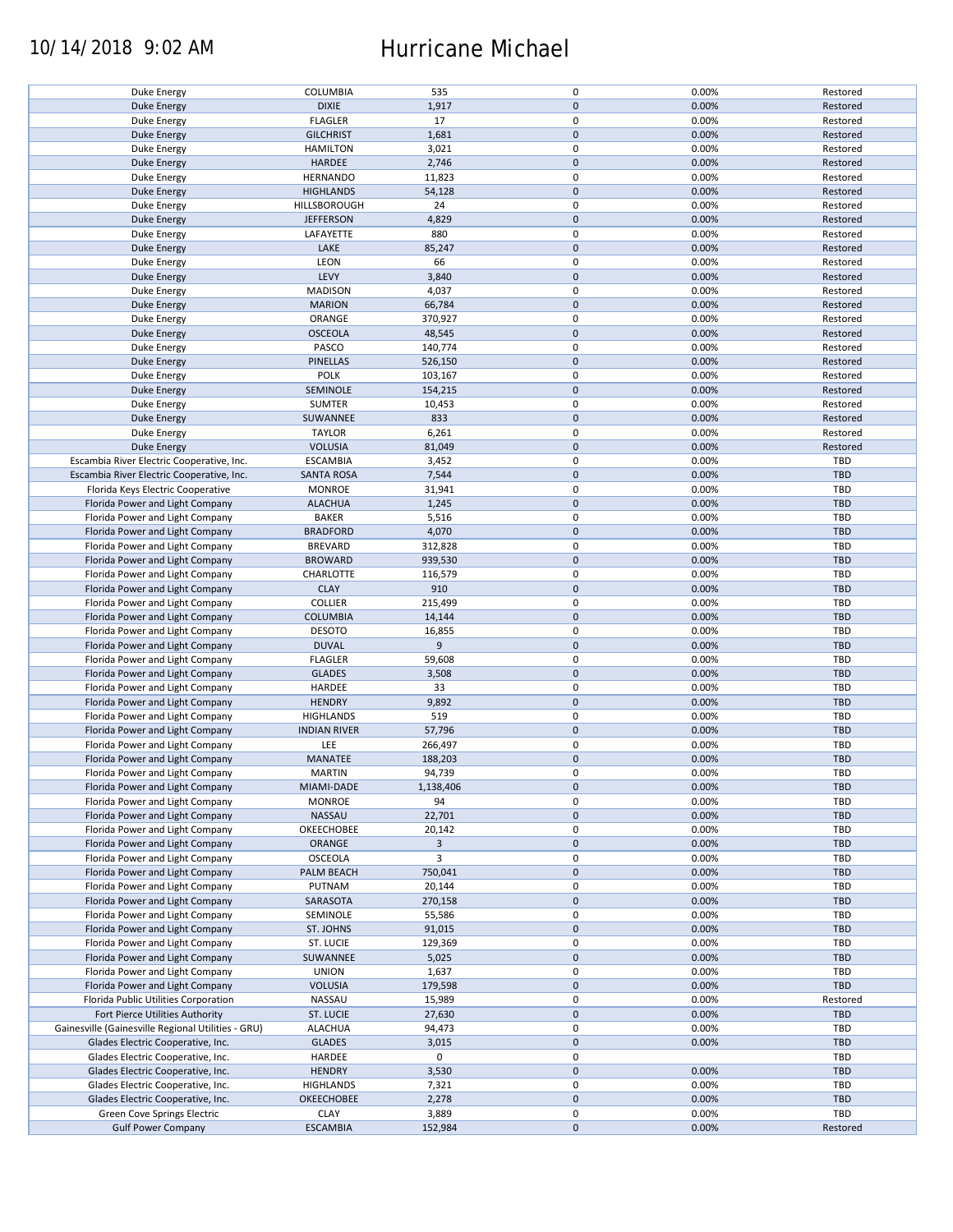## 10/14/2018 9:02 AM Hurricane Michael

| Duke Energy                                        | COLUMBIA            | 535            | 0                   | 0.00% | Restored   |
|----------------------------------------------------|---------------------|----------------|---------------------|-------|------------|
| <b>Duke Energy</b>                                 | <b>DIXIE</b>        | 1,917          | $\mathbf 0$         | 0.00% | Restored   |
| Duke Energy                                        | <b>FLAGLER</b>      | 17             | 0                   | 0.00% | Restored   |
|                                                    |                     |                |                     |       |            |
| <b>Duke Energy</b>                                 | <b>GILCHRIST</b>    | 1,681          | $\mathbf 0$         | 0.00% | Restored   |
| Duke Energy                                        | <b>HAMILTON</b>     | 3,021          | 0                   | 0.00% | Restored   |
| <b>Duke Energy</b>                                 | HARDEE              | 2,746          | $\mathbf 0$         | 0.00% | Restored   |
|                                                    |                     |                | 0                   |       |            |
| Duke Energy                                        | <b>HERNANDO</b>     | 11,823         |                     | 0.00% | Restored   |
| <b>Duke Energy</b>                                 | <b>HIGHLANDS</b>    | 54,128         | $\mathbf 0$         | 0.00% | Restored   |
| Duke Energy                                        | HILLSBOROUGH        | 24             | $\pmb{0}$           | 0.00% | Restored   |
|                                                    |                     |                | $\mathbf 0$         | 0.00% | Restored   |
| Duke Energy                                        | <b>JEFFERSON</b>    | 4,829          |                     |       |            |
| Duke Energy                                        | LAFAYETTE           | 880            | 0                   | 0.00% | Restored   |
| <b>Duke Energy</b>                                 | LAKE                | 85,247         | $\mathbf 0$         | 0.00% | Restored   |
| Duke Energy                                        | <b>LEON</b>         | 66             | $\pmb{0}$           | 0.00% | Restored   |
|                                                    |                     |                |                     |       |            |
| Duke Energy                                        | LEVY                | 3,840          | $\mathbf 0$         | 0.00% | Restored   |
| Duke Energy                                        | <b>MADISON</b>      | 4,037          | $\pmb{0}$           | 0.00% | Restored   |
| <b>Duke Energy</b>                                 | <b>MARION</b>       | 66,784         | $\pmb{0}$           | 0.00% | Restored   |
|                                                    |                     |                |                     |       |            |
| Duke Energy                                        | ORANGE              | 370,927        | $\pmb{0}$           | 0.00% | Restored   |
| <b>Duke Energy</b>                                 | <b>OSCEOLA</b>      | 48,545         | $\pmb{0}$           | 0.00% | Restored   |
| <b>Duke Energy</b>                                 | PASCO               | 140,774        | $\pmb{0}$           | 0.00% | Restored   |
|                                                    |                     |                |                     |       |            |
| <b>Duke Energy</b>                                 | PINELLAS            | 526,150        | $\pmb{0}$           | 0.00% | Restored   |
| Duke Energy                                        | <b>POLK</b>         | 103,167        | $\pmb{0}$           | 0.00% | Restored   |
| <b>Duke Energy</b>                                 | SEMINOLE            | 154,215        | $\pmb{0}$           | 0.00% | Restored   |
|                                                    |                     |                | 0                   |       |            |
| Duke Energy                                        | <b>SUMTER</b>       | 10,453         |                     | 0.00% | Restored   |
| <b>Duke Energy</b>                                 | SUWANNEE            | 833            | $\pmb{0}$           | 0.00% | Restored   |
| Duke Energy                                        | <b>TAYLOR</b>       | 6,261          | $\pmb{0}$           | 0.00% | Restored   |
| <b>Duke Energy</b>                                 | <b>VOLUSIA</b>      |                | $\pmb{0}$           | 0.00% |            |
|                                                    |                     | 81,049         |                     |       | Restored   |
| Escambia River Electric Cooperative, Inc.          | <b>ESCAMBIA</b>     | 3,452          | $\pmb{0}$           | 0.00% | TBD        |
| Escambia River Electric Cooperative, Inc.          | <b>SANTA ROSA</b>   | 7,544          | $\pmb{0}$           | 0.00% | <b>TBD</b> |
| Florida Keys Electric Cooperative                  | <b>MONROE</b>       | 31,941         | $\pmb{0}$           | 0.00% | TBD        |
|                                                    |                     |                |                     |       |            |
| Florida Power and Light Company                    | <b>ALACHUA</b>      | 1,245          | $\pmb{0}$           | 0.00% | <b>TBD</b> |
| Florida Power and Light Company                    | <b>BAKER</b>        | 5,516          | $\pmb{0}$           | 0.00% | <b>TBD</b> |
| Florida Power and Light Company                    | <b>BRADFORD</b>     | 4,070          | $\pmb{0}$           | 0.00% | <b>TBD</b> |
|                                                    |                     |                |                     |       |            |
| Florida Power and Light Company                    | <b>BREVARD</b>      | 312,828        | 0                   | 0.00% | TBD        |
| Florida Power and Light Company                    | <b>BROWARD</b>      | 939,530        | $\mathbf 0$         | 0.00% | <b>TBD</b> |
| Florida Power and Light Company                    | CHARLOTTE           | 116,579        | 0                   | 0.00% | <b>TBD</b> |
|                                                    |                     |                |                     |       |            |
| Florida Power and Light Company                    | <b>CLAY</b>         | 910            | $\pmb{0}$           | 0.00% | <b>TBD</b> |
| Florida Power and Light Company                    | <b>COLLIER</b>      | 215,499        | 0                   | 0.00% | TBD        |
| Florida Power and Light Company                    | <b>COLUMBIA</b>     | 14,144         | $\pmb{0}$           | 0.00% | <b>TBD</b> |
|                                                    |                     |                |                     |       |            |
| Florida Power and Light Company                    | <b>DESOTO</b>       | 16,855         | $\pmb{0}$           | 0.00% | <b>TBD</b> |
| Florida Power and Light Company                    | <b>DUVAL</b>        | 9              | $\mathbf 0$         | 0.00% | <b>TBD</b> |
| Florida Power and Light Company                    | <b>FLAGLER</b>      | 59,608         | $\pmb{0}$           | 0.00% | TBD        |
|                                                    |                     |                | $\mathbf 0$         |       | <b>TBD</b> |
| Florida Power and Light Company                    | <b>GLADES</b>       | 3,508          |                     | 0.00% |            |
| Florida Power and Light Company                    | HARDEE              | 33             | 0                   | 0.00% | TBD        |
| Florida Power and Light Company                    | <b>HENDRY</b>       | 9,892          | $\mathbf 0$         | 0.00% | <b>TBD</b> |
| Florida Power and Light Company                    | <b>HIGHLANDS</b>    | 519            | $\pmb{0}$           | 0.00% | <b>TBD</b> |
|                                                    |                     |                |                     |       |            |
| Florida Power and Light Company                    | <b>INDIAN RIVER</b> | 57,796         | $\pmb{0}$           | 0.00% | <b>TBD</b> |
| Florida Power and Light Company                    | LEE                 | 266,497        | 0                   | 0.00% | <b>TBD</b> |
| Florida Power and Light Company                    | <b>MANATEE</b>      | 188,203        | $\mathbf 0$         | 0.00% | <b>TBD</b> |
|                                                    |                     |                |                     |       |            |
| Florida Power and Light Company                    | <b>MARTIN</b>       | 94,739         | $\mathbf 0$         | 0.00% | TBD        |
| Florida Power and Light Company                    | MIAMI-DADE          | 1,138,406      | $\pmb{0}$           | 0.00% | <b>TBD</b> |
| Florida Power and Light Company                    | <b>MONROE</b>       | 94             | 0                   | 0.00% | TBD        |
|                                                    |                     |                |                     |       |            |
| Florida Power and Light Company                    | NASSAU              | 22,701         | $\mathbf 0$         | 0.00% | <b>TBD</b> |
| Florida Power and Light Company                    | OKEECHOBEE          | 20,142         | 0                   | 0.00% | TBD        |
| Florida Power and Light Company                    | ORANGE              | $\overline{3}$ | $\mathbf 0$         | 0.00% | <b>TBD</b> |
|                                                    |                     | $\overline{3}$ |                     |       |            |
| Florida Power and Light Company                    | OSCEOLA             |                | 0                   | 0.00% | TBD        |
| Florida Power and Light Company                    | PALM BEACH          | 750,041        | $\mathbf 0$         | 0.00% | TBD        |
| Florida Power and Light Company                    | PUTNAM              | 20,144         | 0                   | 0.00% | TBD        |
| Florida Power and Light Company                    | SARASOTA            | 270,158        | $\mathbf 0$         | 0.00% | <b>TBD</b> |
|                                                    |                     |                |                     |       |            |
| Florida Power and Light Company                    | SEMINOLE            | 55,586         | 0                   | 0.00% | TBD        |
| Florida Power and Light Company                    | ST. JOHNS           | 91,015         | $\pmb{0}$           | 0.00% | <b>TBD</b> |
| Florida Power and Light Company                    | ST. LUCIE           | 129,369        | 0                   | 0.00% | TBD        |
|                                                    |                     |                |                     |       |            |
| Florida Power and Light Company                    | SUWANNEE            | 5,025          | $\pmb{0}$           | 0.00% | <b>TBD</b> |
| Florida Power and Light Company                    | <b>UNION</b>        | 1,637          | 0                   | 0.00% | TBD        |
| Florida Power and Light Company                    | <b>VOLUSIA</b>      | 179,598        | $\mathbf 0$         | 0.00% | <b>TBD</b> |
|                                                    |                     |                |                     |       |            |
| Florida Public Utilities Corporation               | NASSAU              | 15,989         | 0                   | 0.00% | Restored   |
| Fort Pierce Utilities Authority                    | ST. LUCIE           | 27,630         | $\mathbf 0$         | 0.00% | <b>TBD</b> |
| Gainesville (Gainesville Regional Utilities - GRU) | <b>ALACHUA</b>      | 94,473         | $\pmb{0}$           | 0.00% | TBD        |
|                                                    |                     |                |                     |       |            |
| Glades Electric Cooperative, Inc.                  | <b>GLADES</b>       | 3,015          | $\pmb{0}$           | 0.00% | TBD        |
| Glades Electric Cooperative, Inc.                  | HARDEE              | $\mathbf 0$    | $\pmb{0}$           |       | TBD        |
| Glades Electric Cooperative, Inc.                  | <b>HENDRY</b>       | 3,530          | $\pmb{0}$           | 0.00% | <b>TBD</b> |
|                                                    |                     |                |                     |       |            |
| Glades Electric Cooperative, Inc.                  | <b>HIGHLANDS</b>    | 7,321          | $\pmb{0}$           | 0.00% | TBD        |
| Glades Electric Cooperative, Inc.                  | <b>OKEECHOBEE</b>   | 2,278          | $\pmb{0}$           | 0.00% | TBD        |
| Green Cove Springs Electric                        | <b>CLAY</b>         | 3,889          | 0                   | 0.00% | TBD        |
|                                                    |                     |                |                     |       |            |
| <b>Gulf Power Company</b>                          | <b>ESCAMBIA</b>     | 152,984        | $\mathsf{O}\xspace$ | 0.00% | Restored   |